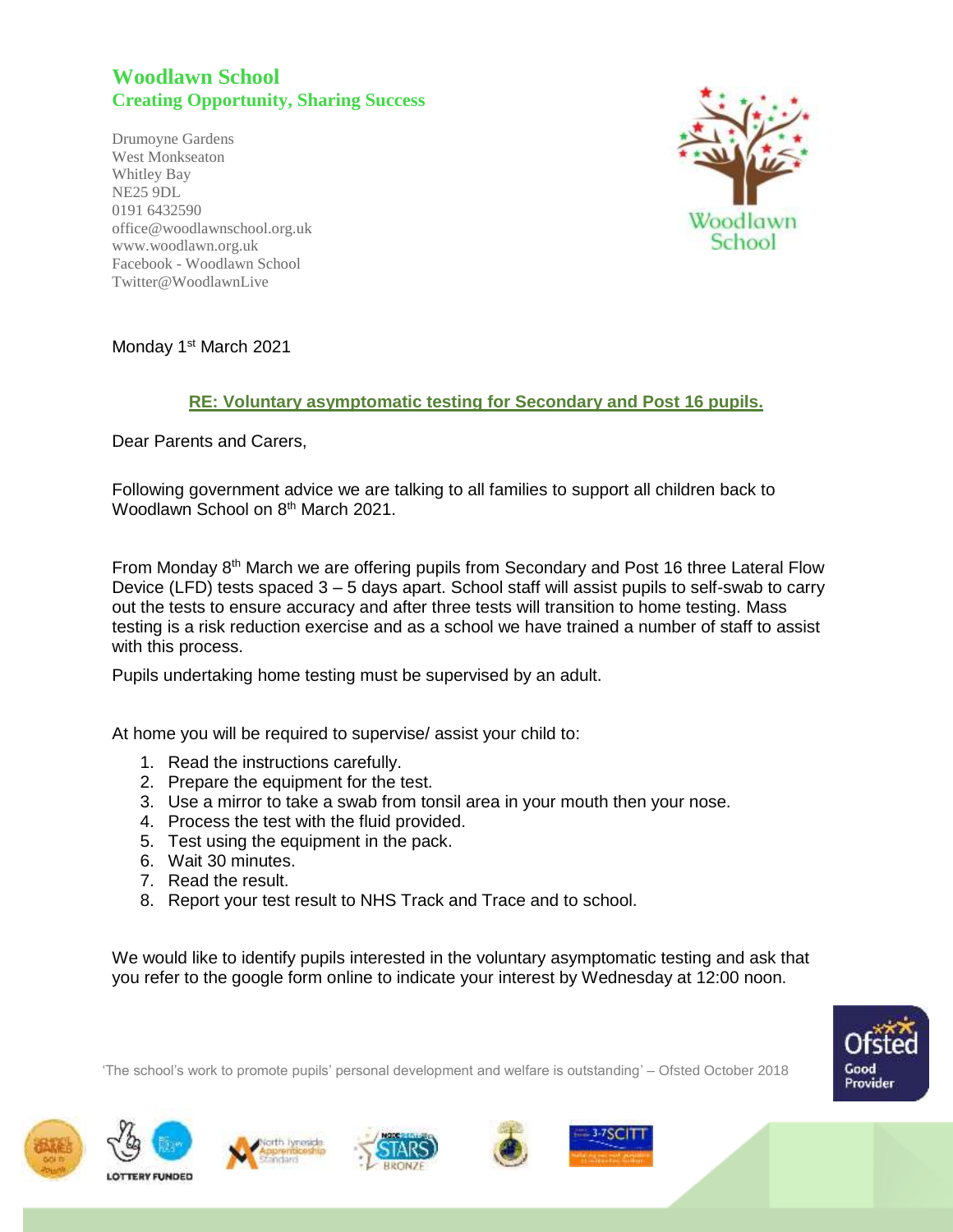## **Woodlawn School Creating Opportunity, Sharing Success**

Drumoyne Gardens West Monkseaton Whitley Bay NE25 9DL 0191 6432590 office@woodlawnschool.org.uk [www.woodlawn.](http://www.woodlawn/)org.uk Facebook - Woodlawn School Twitter@WoodlawnLive



Monday 1<sup>st</sup> March 2021

## **RE: Voluntary asymptomatic testing for Secondary and Post 16 pupils.**

Dear Parents and Carers,

Following government advice we are talking to all families to support all children back to Woodlawn School on 8<sup>th</sup> March 2021.

From Monday 8<sup>th</sup> March we are offering pupils from Secondary and Post 16 three Lateral Flow Device (LFD) tests spaced 3 – 5 days apart. School staff will assist pupils to self-swab to carry out the tests to ensure accuracy and after three tests will transition to home testing. Mass testing is a risk reduction exercise and as a school we have trained a number of staff to assist with this process.

Pupils undertaking home testing must be supervised by an adult.

At home you will be required to supervise/ assist your child to:

- 1. Read the instructions carefully.
- 2. Prepare the equipment for the test.
- 3. Use a mirror to take a swab from tonsil area in your mouth then your nose.
- 4. Process the test with the fluid provided.
- 5. Test using the equipment in the pack.
- 6. Wait 30 minutes.
- 7. Read the result.
- 8. Report your test result to NHS Track and Trace and to school.

We would like to identify pupils interested in the voluntary asymptomatic testing and ask that you refer to the google form online to indicate your interest by Wednesday at 12:00 noon.

'The school's work to promote pupils' personal development and welfare is outstanding' – Ofsted October 2018











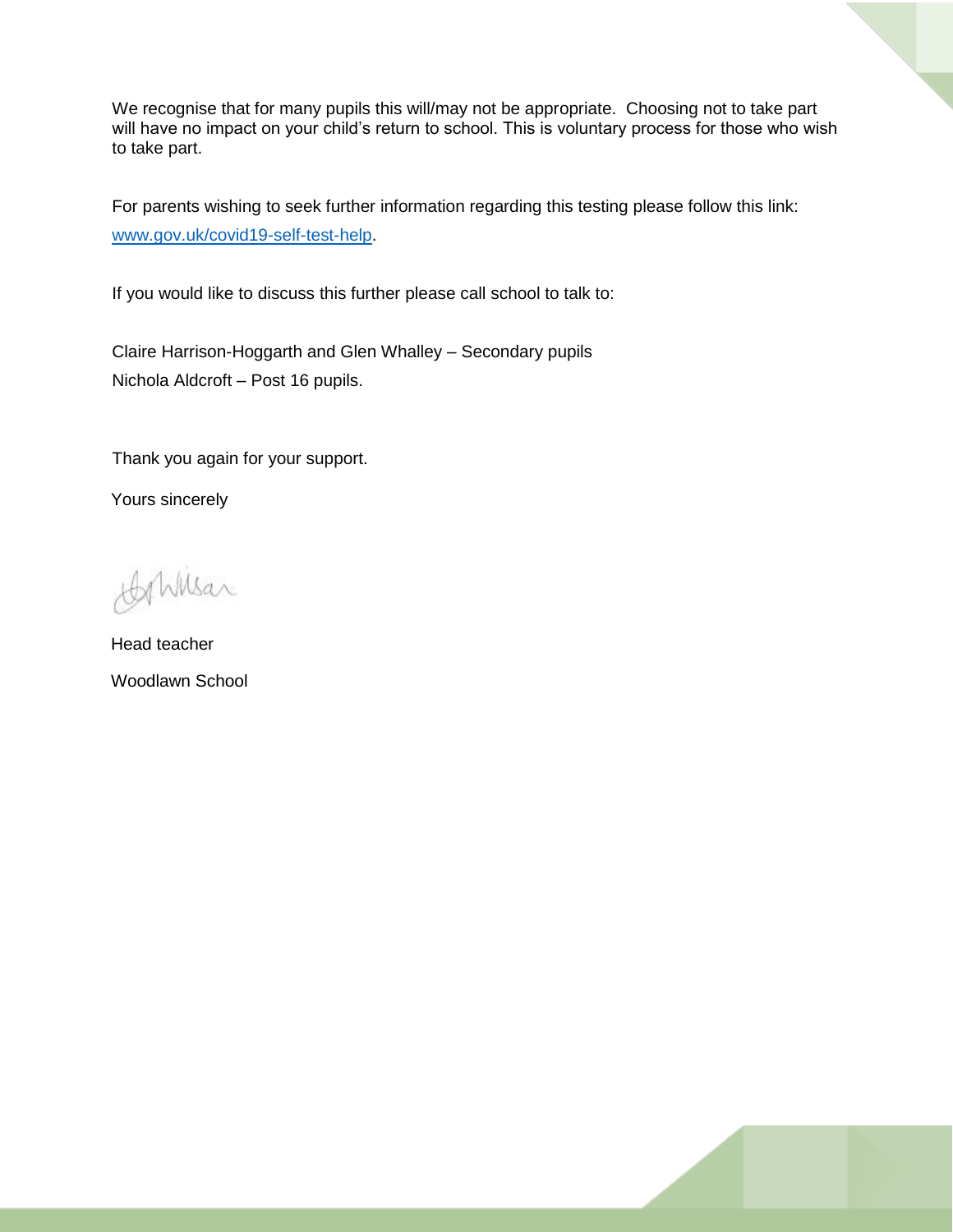We recognise that for many pupils this will/may not be appropriate. Choosing not to take part will have no impact on your child's return to school. This is voluntary process for those who wish to take part.

For parents wishing to seek further information regarding this testing please follow this link: [www.gov.uk/covid19-self-test-help.](http://www.gov.uk/covid19-self-test-help)

If you would like to discuss this further please call school to talk to:

Claire Harrison-Hoggarth and Glen Whalley – Secondary pupils Nichola Aldcroft – Post 16 pupils.

Thank you again for your support.

Yours sincerely

AhMsar

Head teacher Woodlawn School